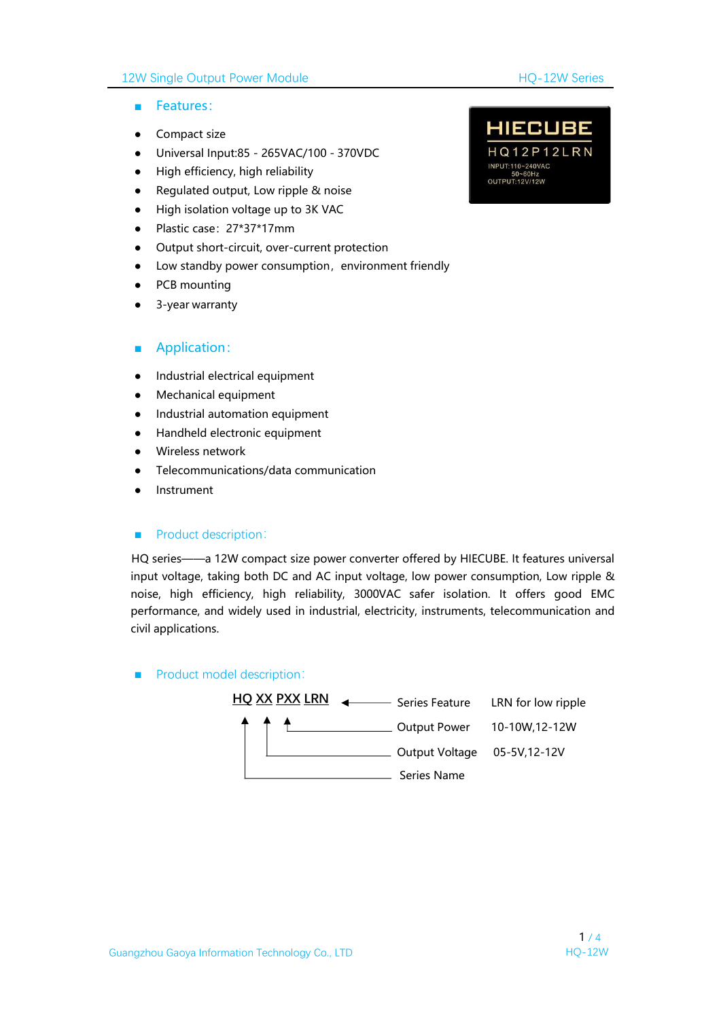#### 12W Single Output Power Module **HO-12W Series**

- Features:
- Compact size
- Universal Input:85 265VAC/100 370VDC HQ12P12LRN
- High efficiency, high reliability
- Regulated output, Low ripple & noise
- High isolation voltage up to 3K VAC
- Plastic case:27\*37\*17mm
- Output short-circuit, over-current protection
- Low standby power consumption, environment friendly
- PCB mounting
- 3-year warranty

#### ■ Application:

- Industrial electrical equipment
- Mechanical equipment
- Industrial automation equipment
- Handheld electronic equipment
- Wireless network
- Telecommunications/data communication
- **Instrument**

#### ■ Product description:

HQ series——a 12W compact size power converter offered by HIECUBE. It features universal input voltage, taking both DC and AC input voltage, low power consumption, Low ripple & noise, high efficiency, high reliability, 3000VAC safer isolation. It offers good EMC performance, and widely used in industrial, electricity, instruments, telecommunication and civil applications.

#### ■ Product model description:



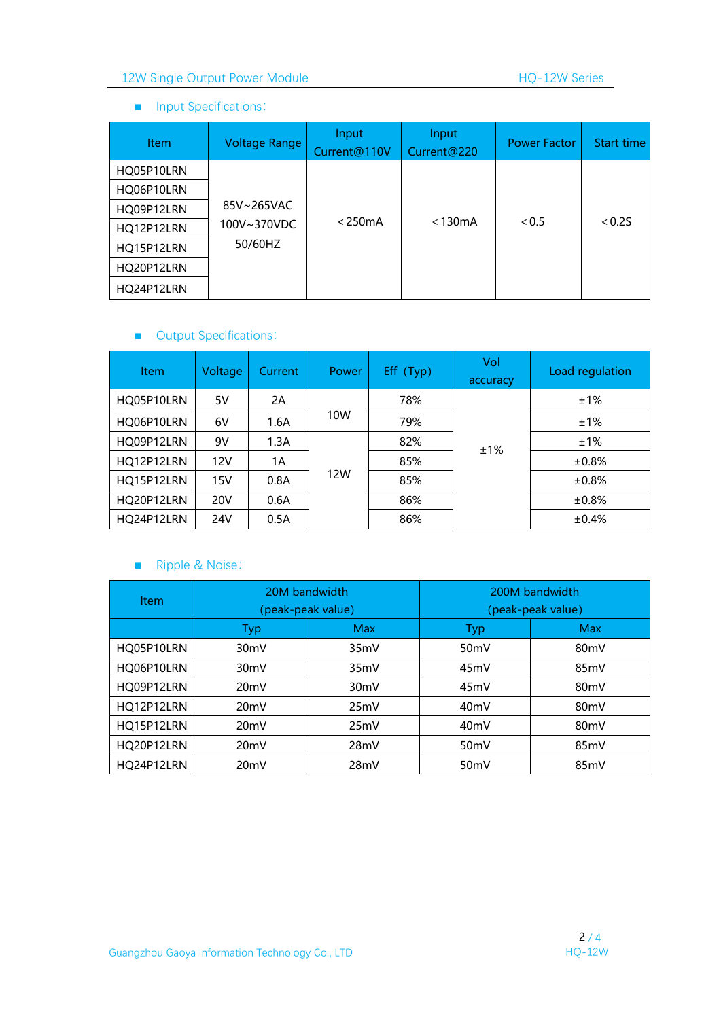## 12W Single Output Power Module 12W Series

#### ■ Input Specifications:

| <b>Item</b> | <b>Voltage Range</b> | Input<br>Current@110V | Input<br>Current@220 | <b>Power Factor</b> | Start time |
|-------------|----------------------|-----------------------|----------------------|---------------------|------------|
| HQ05P10LRN  |                      |                       |                      |                     |            |
| HQ06P10LRN  |                      |                       |                      |                     |            |
| HQ09P12LRN  | 85V~265VAC           | < 250mA               | $<$ 130 $mA$         | < 0.5               | < 0.25     |
| HQ12P12LRN  | 100V~370VDC          |                       |                      |                     |            |
| HQ15P12LRN  | 50/60HZ              |                       |                      |                     |            |
| HQ20P12LRN  |                      |                       |                      |                     |            |
| HQ24P12LRN  |                      |                       |                      |                     |            |

## ■ Output Specifications:

| <b>Item</b> | Voltage    | Current | Power | Eff (Typ) | Vol<br>accuracy | Load regulation |
|-------------|------------|---------|-------|-----------|-----------------|-----------------|
| HQ05P10LRN  | 5V         | 2A      |       | 78%       | ±1%             | ±1%             |
| HQ06P10LRN  | 6V         | 1.6A    | 10W   | 79%       |                 | ±1%             |
| HQ09P12LRN  | 9V         | 1.3A    | 12W   | 82%       |                 | ±1%             |
| HQ12P12LRN  | 12V        | 1A      |       | 85%       |                 | $±0.8\%$        |
| HQ15P12LRN  | 15V        | 0.8A    |       | 85%       |                 | $±0.8\%$        |
| HQ20P12LRN  | <b>20V</b> | 0.6A    |       | 86%       |                 | $±0.8\%$        |
| HQ24P12LRN  | 24V        | 0.5A    |       | 86%       |                 | ±0.4%           |

### ■ Ripple & Noise:

| <b>Item</b> | 20M bandwidth<br>(peak-peak value) |                   | 200M bandwidth<br>(peak-peak value) |                   |  |
|-------------|------------------------------------|-------------------|-------------------------------------|-------------------|--|
|             | Typ                                | <b>Max</b>        | Typ                                 | <b>Max</b>        |  |
| HO05P10LRN  | 30 <sub>m</sub> V                  | 35mV              | 50 <sub>m</sub> V                   | 80 <sub>m</sub> V |  |
| HQ06P10LRN  | 30 <sub>m</sub> V                  | 35mV              | 45mV                                | 85 <sub>m</sub> V |  |
| HQ09P12LRN  | 20mV                               | 30 <sub>m</sub> V | 45mV                                | 80 <sub>m</sub> V |  |
| HQ12P12LRN  | 20 <sub>m</sub> V                  | 25mV              | 40 <sub>m</sub> V                   | 80mV              |  |
| HQ15P12LRN  | 20 <sub>m</sub> V                  | 25mV              | 40 <sub>m</sub> V                   | 80 <sub>m</sub> V |  |
| HQ20P12LRN  | 20 <sub>m</sub> V                  | 28mV              | 50 <sub>m</sub> V                   | 85 <sub>m</sub> V |  |
| HO24P12LRN  | 20 <sub>m</sub> V                  | 28mV              | 50 <sub>m</sub> V                   | 85mV              |  |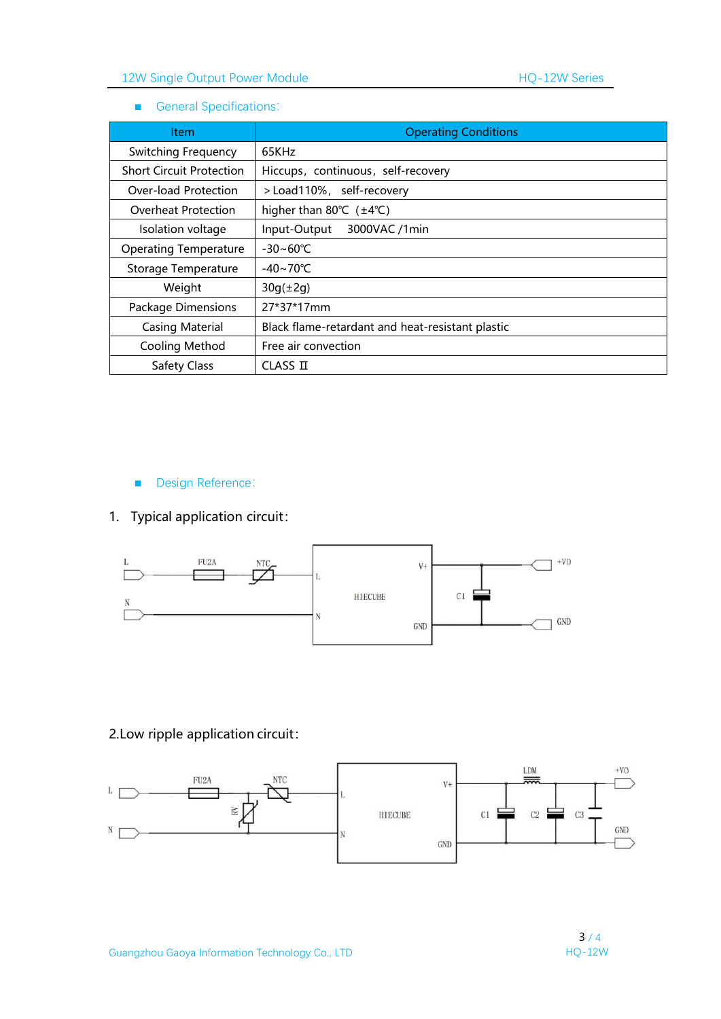#### ■ General Specifications:

| Item                            | <b>Operating Conditions</b>                       |
|---------------------------------|---------------------------------------------------|
| <b>Switching Frequency</b>      | 65KHz                                             |
| <b>Short Circuit Protection</b> | Hiccups, continuous, self-recovery                |
| Over-load Protection            | > Load110%, self-recovery                         |
| Overheat Protection             | higher than 80 $\degree$ C ( $\pm$ 4 $\degree$ C) |
| Isolation voltage               | Input-Output<br>3000VAC /1min                     |
| <b>Operating Temperature</b>    | $-30 - 60^{\circ}C$                               |
| Storage Temperature             | $-40 \sim 70^{\circ}$ C                           |
| Weight                          | $30g(\pm 2g)$                                     |
| Package Dimensions              | 27*37*17mm                                        |
| <b>Casing Material</b>          | Black flame-retardant and heat-resistant plastic  |
| Cooling Method                  | Free air convection                               |
| <b>Safety Class</b>             | CLASS II                                          |

■ Design Reference:

## 1. Typical application circuit:



## 2.Low ripple application circuit:

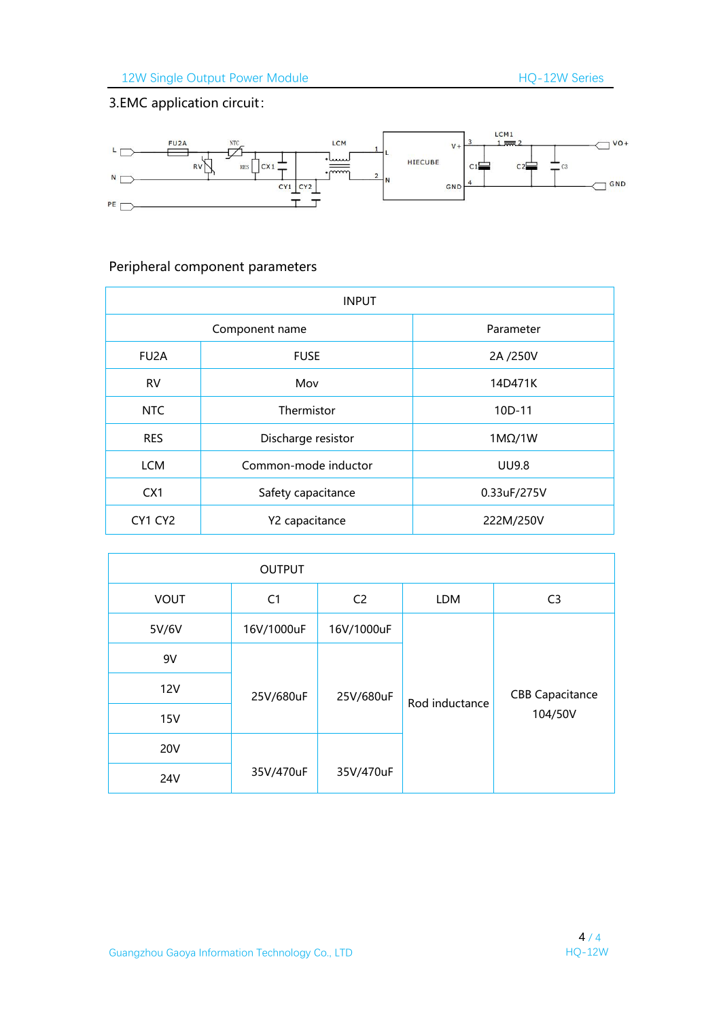# 3.EMC application circuit:



# Peripheral component parameters

| <b>INPUT</b>      |                      |               |  |  |
|-------------------|----------------------|---------------|--|--|
|                   | Component name       | Parameter     |  |  |
| FU <sub>2</sub> A | <b>FUSE</b>          | 2A /250V      |  |  |
| <b>RV</b>         | Mov                  | 14D471K       |  |  |
| <b>NTC</b>        | Thermistor           | 10D-11        |  |  |
| <b>RES</b>        | Discharge resistor   | $1M\Omega/1W$ |  |  |
| <b>LCM</b>        | Common-mode inductor | <b>UU9.8</b>  |  |  |
| CX <sub>1</sub>   | Safety capacitance   | 0.33uF/275V   |  |  |
| CY1 CY2           | Y2 capacitance       | 222M/250V     |  |  |

|             | <b>OUTPUT</b>  |                |                |                        |
|-------------|----------------|----------------|----------------|------------------------|
| <b>VOUT</b> | C <sub>1</sub> | C <sub>2</sub> | LDM            | C <sub>3</sub>         |
| 5V/6V       | 16V/1000uF     | 16V/1000uF     |                |                        |
| 9V          |                |                |                |                        |
| <b>12V</b>  | 25V/680uF      | 25V/680uF      | Rod inductance | <b>CBB Capacitance</b> |
| <b>15V</b>  |                |                |                | 104/50V                |
| <b>20V</b>  |                |                |                |                        |
| <b>24V</b>  | 35V/470uF      | 35V/470uF      |                |                        |